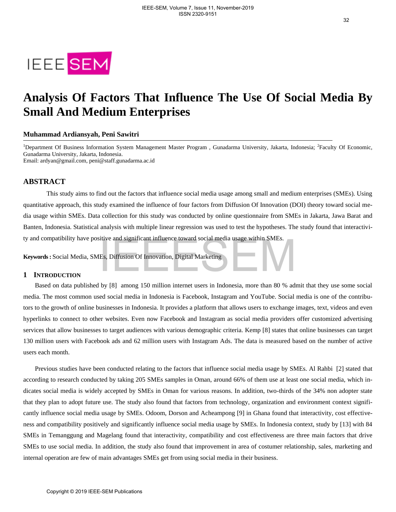

# **Analysis Of Factors That Influence The Use Of Social Media By Small And Medium Enterprises**

# **Muhammad Ardiansyah, Peni Sawitri**

<sup>1</sup>Department Of Business Information System Management Master Program, Gunadarma University, Jakarta, Indonesia; <sup>2</sup>Faculty Of Economic, Gunadarma University, Jakarta, Indonesia.

Email: ardyan@gmail.com, peni@staff.gunadarma.ac.id

# **ABSTRACT**

This study aims to find out the factors that influence social media usage among small and medium enterprises (SMEs). Using quantitative approach, this study examined the influence of four factors from Diffusion Of Innovation (DOI) theory toward social media usage within SMEs. Data collection for this study was conducted by online questionnaire from SMEs in Jakarta, Jawa Barat and Banten, Indonesia. Statistical analysis with multiple linear regression was used to test the hypotheses. The study found that interactivity and compatibility have positive and significant influence toward social media usage within SMEs.

**Keywords:** Social Media, SMEs, Diffusion Of Innovation, Digital Marketing

## **1 INTRODUCTION**

Based on data published by [8] among 150 million internet users in Indonesia, more than 80 % admit that they use some social media. The most common used social media in Indonesia is Facebook, Instagram and YouTube. Social media is one of the contributors to the growth of online businesses in Indonesia. It provides a platform that allows users to exchange images, text, videos and even hyperlinks to connect to other websites. Even now Facebook and Instagram as social media providers offer customized advertising services that allow businesses to target audiences with various demographic criteria. Kemp [8] states that online businesses can target 130 million users with Facebook ads and 62 million users with Instagram Ads. The data is measured based on the number of active users each month.

Previous studies have been conducted relating to the factors that influence social media usage by SMEs. Al Rahbi [2] stated that according to research conducted by taking 205 SMEs samples in Oman, around 66% of them use at least one social media, which indicates social media is widely accepted by SMEs in Oman for various reasons. In addition, two-thirds of the 34% non adopter state that they plan to adopt future use. The study also found that factors from technology, organization and environment context significantly influence social media usage by SMEs. Odoom, Dorson and Acheampong [9] in Ghana found that interactivity, cost effectiveness and compatibility positively and significantly influence social media usage by SMEs. In Indonesia context, study by [13] with 84 SMEs in Temanggung and Magelang found that interactivity, compatibility and cost effectiveness are three main factors that drive SMEs to use social media. In addition, the study also found that improvement in area of costumer relationship, sales, marketing and internal operation are few of main advantages SMEs get from using social media in their business. mpatibitivy have positive and significant implience toward social media usage winnin sivites.<br>
• Social Media, SMEs, Diffusion Of Innovation, Digital Marketing<br> **coDUCTION**<br>
d on data published by [8] among 150 million int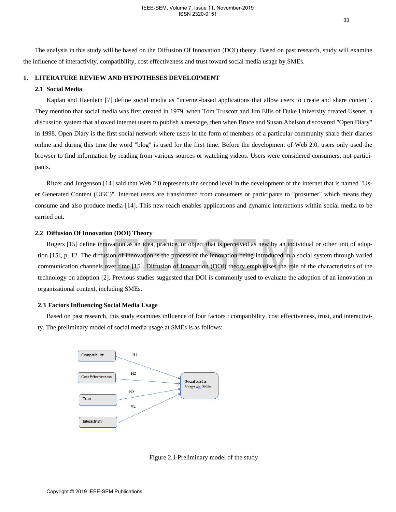The analysis in this study will be based on the Diffusion Of Innovation (DOI) theory. Based on past research, study will examine the influence of interactivity, compatibility, cost effectiveness and trust toward social media usage by SMEs.

# **1. LITERATURE REVIEW AND HYPOTHESES DEVELOPMENT**

# **2.1 Social Media**

Kaplan and Haenlein [7] define social media as "internet-based applications that allow users to create and share content". They mention that social media was first created in 1979, when Tom Truscott and Jim Ellis of Duke University created Usenet, a discussion system that allowed internet users to publish a message, then when Bruce and Susan Abelson discovered "Open Diary" in 1998. Open Diary is the first social network where users in the form of members of a particular community share their diaries online and during this time the word "blog" is used for the first time. Before the development of Web 2.0, users only used the browser to find information by reading from various sources or watching videos. Users were considered consumers, not participants.

Ritzer and Jurgenson [14] said that Web 2.0 represents the second level in the development of the internet that is named "User Generated Content (UGC)". Internet users are transformed from consumers or participants to "prosumer" which means they consume and also produce media [14]. This new reach enables applications and dynamic interactions within social media to be carried out.

#### **2.2 Diffusion Of Innovation (DOI) Theory**

Rogers [15] define innovation as an idea, practice, or object that is perceived as new by an individual or other unit of adoption [15], p. 12. The diffusion of innovation is the process of the innovation being introduced in a social system through varied communication channels over time [15]. Diffusion of Innovation (DOI) theory emphasises the role of the characteristics of the technology on adoption [2]. Previous studies suggested that DOI is commonly used to evaluate the adoption of an innovation in organizational context, including SMEs.

#### **2.3 Factors Influencing Social Media Usage**

Based on past research, this study examines influence of four factors : compatibility, cost effectiveness, trust, and interactivity. The preliminary model of social media usage at SMEs is as follows:



Figure 2.1 Preliminary model of the study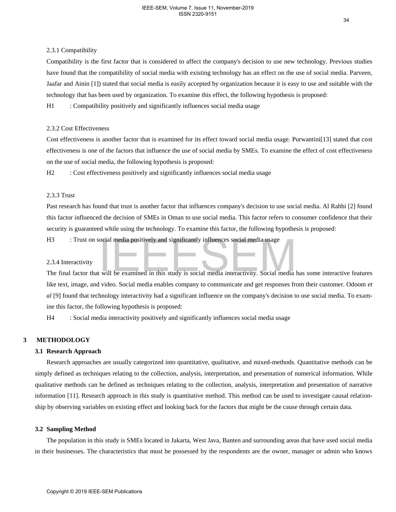# 2.3.1 Compatibility

Compatibility is the first factor that is considered to affect the company's decision to use new technology. Previous studies have found that the compatibility of social media with existing technology has an effect on the use of social media. Parveen, Jaafar and Ainin [1]) stated that social media is easily accepted by organization because it is easy to use and suitable with the technology that has been used by organization. To examine this effect, the following hypothesis is proposed:

H1 : Compatibility positively and significantly influences social media usage

# 2.3.2 Cost Effectiveness

Cost effectiveness is another factor that is examined for its effect toward social media usage. Purwantini[13] stated that cost effectiveness is one of the factors that influence the use of social media by SMEs. To examine the effect of cost effectiveness on the use of social media, the following hypothesis is proposed:

H<sub>2</sub> : Cost effectiveness positively and significantly influences social media usage

# 2.3.3 Trust

Past research has found that trust is another factor that influences company's decision to use social media. Al Rahbi [2] found this factor influenced the decision of SMEs in Oman to use social media. This factor refers to consumer confidence that their security is guaranteed while using the technology. To examine this factor, the following hypothesis is proposed:

H3 : Trust on social media positively and significantly influences social media usage

## 2.3.4 Interactivity

The final factor that will be examined in this study is social media interactivity. Social media has some interactive features like text, image, and video. Social media enables company to communicate and get responses from their customer. Odoom *et al* [9] found that technology interactivity had a significant influence on the company's decision to use social media. To examine this factor, the following hypothesis is proposed:

H4 : Social media interactivity positively and significantly influences social media usage

# **3 METHODOLOGY**

## **3.1 Research Approach**

Research approaches are usually categorized into quantitative, qualitative, and mixed-methods. Quantitative methods can be simply defined as techniques relating to the collection, analysis, interpretation, and presentation of numerical information. While qualitative methods can be defined as techniques relating to the collection, analysis, interpretation and presentation of narrative information [11]. Research approach in this study is quantitative method. This method can be used to investigate causal relationship by observing variables on existing effect and looking back for the factors that might be the cause through certain data. That on social media positively and significantly influences social media usage<br>
2.3.4 Interactivity<br>
The final factor that will be examined in this study is social media interactivity. Social media<br>
like text, image, and

## **3.2 Sampling Method**

The population in this study is SMEs located in Jakarta, West Java, Banten and surrounding areas that have used social media in their businesses. The characteristics that must be possessed by the respondents are the owner, manager or admin who knows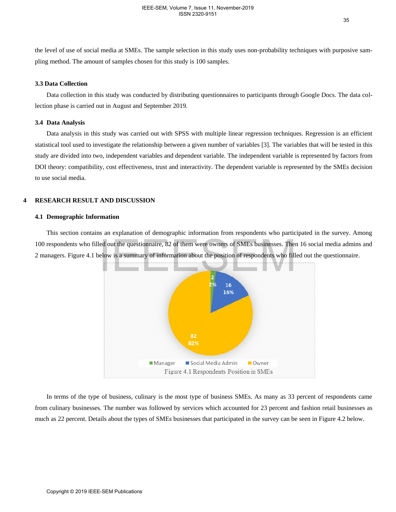the level of use of social media at SMEs. The sample selection in this study uses non-probability techniques with purposive sampling method. The amount of samples chosen for this study is 100 samples.

# **3.3 Data Collection**

Data collection in this study was conducted by distributing questionnaires to participants through Google Docs. The data collection phase is carried out in August and September 2019.

#### **3.4 Data Analysis**

Data analysis in this study was carried out with SPSS with multiple linear regression techniques. Regression is an efficient statistical tool used to investigate the relationship between a given number of variables [3]. The variables that will be tested in this study are divided into two, independent variables and dependent variable. The independent variable is represented by factors from DOI theory: compatibility, cost effectiveness, trust and interactivity. The dependent variable is represented by the SMEs decision to use social media.

# **4 RESEARCH RESULT AND DISCUSSION**

#### **4.1 Demographic Information**

This section contains an explanation of demographic information from respondents who participated in the survey. Among 100 respondents who filled out the questionnaire, 82 of them were owners of SMEs businesses. Then 16 social media admins and 2 managers. Figure 4.1 below is a summary of information about the position of respondents who filled out the questionnaire.



In terms of the type of business, culinary is the most type of business SMEs. As many as 33 percent of respondents came from culinary businesses. The number was followed by services which accounted for 23 percent and fashion retail businesses as much as 22 percent. Details about the types of SMEs businesses that participated in the survey can be seen in Figure 4.2 below.

35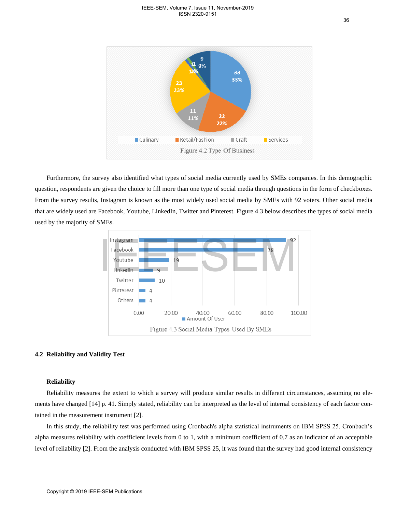

Furthermore, the survey also identified what types of social media currently used by SMEs companies. In this demographic question, respondents are given the choice to fill more than one type of social media through questions in the form of checkboxes. From the survey results, Instagram is known as the most widely used social media by SMEs with 92 voters. Other social media that are widely used are Facebook, Youtube, LinkedIn, Twitter and Pinterest. Figure 4.3 below describes the types of social media used by the majority of SMEs.



#### **4.2 Reliability and Validity Test**

# **Reliability**

Reliability measures the extent to which a survey will produce similar results in different circumstances, assuming no elements have changed [14] p. 41. Simply stated, reliability can be interpreted as the level of internal consistency of each factor contained in the measurement instrument [2].

In this study, the reliability test was performed using Cronbach's alpha statistical instruments on IBM SPSS 25. Cronbach's alpha measures reliability with coefficient levels from 0 to 1, with a minimum coefficient of 0.7 as an indicator of an acceptable level of reliability [2]. From the analysis conducted with IBM SPSS 25, it was found that the survey had good internal consistency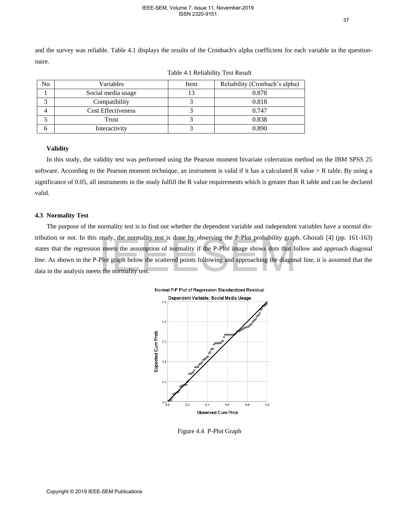and the survey was reliable. Table 4.1 displays the results of the Cronbach's alpha coefficient for each variable in the questionnaire.

| No | Variables                 | Item | Reliability (Cronbach's alpha) |
|----|---------------------------|------|--------------------------------|
|    | Social media usage        |      | 0.878                          |
|    | Compatibility             |      | 0.818                          |
|    | <b>Cost Effectiveness</b> |      | 0.747                          |
|    | Trust                     |      | 0.838                          |
| n  | Interactivity             |      | 0.890                          |

Table 4.1 Reliability Test Result

# **Validity**

In this study, the validity test was performed using the Pearson moment bivariate colerration method on the IBM SPSS 25 software. According to the Pearson moment technique, an instrument is valid if it has a calculated R value > R table. By using a significance of 0.05, all instruments in the study fulfill the R value requirements which is greater than R table and can be declared valid.

#### **4.3 Normality Test**

The purpose of the normality test is to find out whether the dependent variable and independent variables have a normal distribution or not. In this study, the normality test is done by observing the P-Plot probability graph. Ghozali [4] (pp. 161-163) states that the regression meets the assumption of normality if the P-Plot image shows dots that follow and approach diagonal line. As shown in the P-Plot graph below the scattered points following and approaching the diagonal line, it is assumed that the data in the analysis meets the normality test.



Figure 4.4 P-Plot Graph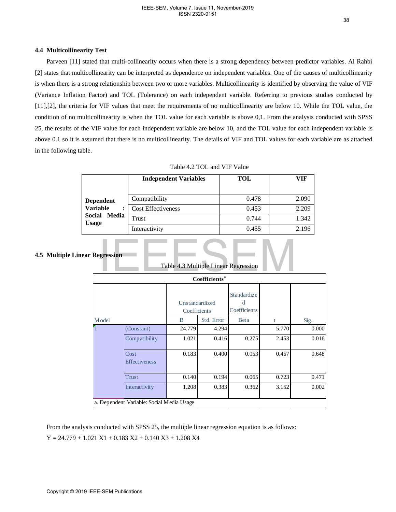#### **4.4 Multicollinearity Test**

Parveen [11] stated that multi-collinearity occurs when there is a strong dependency between predictor variables. Al Rahbi [2] states that multicollinearity can be interpreted as dependence on independent variables. One of the causes of multicollinearity is when there is a strong relationship between two or more variables. Multicollinearity is identified by observing the value of VIF (Variance Inflation Factor) and TOL (Tolerance) on each independent variable. Referring to previous studies conducted by [11],[2], the criteria for VIF values that meet the requirements of no multicollinearity are below 10. While the TOL value, the condition of no multicollinearity is when the TOL value for each variable is above 0,1. From the analysis conducted with SPSS 25, the results of the VIF value for each independent variable are below 10, and the TOL value for each independent variable is above 0.1 so it is assumed that there is no multicollinearity. The details of VIF and TOL values for each variable are as attached in the following table.

|                                 | <b>Independent Variables</b> | TOL   | VIF   |
|---------------------------------|------------------------------|-------|-------|
| <b>Dependent</b>                | Compatibility                | 0.478 | 2.090 |
| <b>Variable</b>                 | <b>Cost Effectiveness</b>    | 0.453 | 2.209 |
| Social<br><b>Media</b><br>Usage | Trust                        | 0.744 | 1.342 |
|                                 | Interactivity                | 0.455 | 2.196 |

Table 4.2 TOL and VIF Value

# **4.5 Multiple Linear Regression**

|       |                                                                                                                                                                                                           |                                | Coefficients <sup>a</sup> |                                  |       |       |
|-------|-----------------------------------------------------------------------------------------------------------------------------------------------------------------------------------------------------------|--------------------------------|---------------------------|----------------------------------|-------|-------|
|       |                                                                                                                                                                                                           | Unstandardized<br>Coefficients |                           | Standardize<br>d<br>Coefficients |       |       |
| Model |                                                                                                                                                                                                           | B                              | Std. Error                | Beta                             | t     | Sig.  |
|       | (Constant)                                                                                                                                                                                                | 24.779                         | 4.294                     |                                  | 5.770 | 0.000 |
|       | Compatibility                                                                                                                                                                                             | 1.021                          | 0.416                     | 0.275                            | 2.453 | 0.016 |
|       | Cost<br>Effectiveness                                                                                                                                                                                     | 0.183                          | 0.400                     | 0.053                            | 0.457 | 0.648 |
|       | <b>Trust</b>                                                                                                                                                                                              | 0.140                          | 0.194                     | 0.065                            | 0.723 | 0.471 |
|       | Interactivity                                                                                                                                                                                             | 1.208                          | 0.383                     | 0.362                            | 3.152 | 0.002 |
|       | a. Dependent Variable: Social Media Usage<br>From the analysis conducted with SPSS 25, the multiple linear regression equation is as follows:<br>$Y = 24.779 + 1.021 X1 + 0.183 X2 + 0.140 X3 + 1.208 X4$ |                                |                           |                                  |       |       |

Table 4.3 Multiple Linear Regression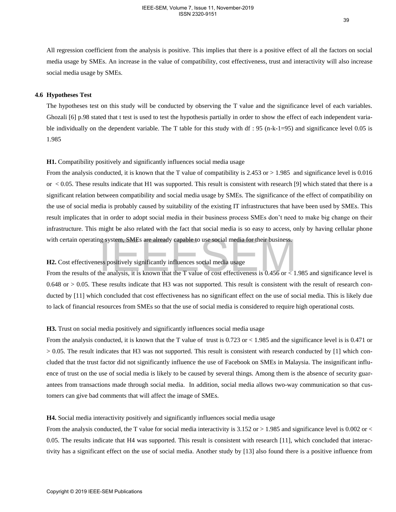All regression coefficient from the analysis is positive. This implies that there is a positive effect of all the factors on social media usage by SMEs. An increase in the value of compatibility, cost effectiveness, trust and interactivity will also increase social media usage by SMEs.

## **4.6 Hypotheses Test**

The hypotheses test on this study will be conducted by observing the T value and the significance level of each variables. Ghozali [6] p.98 stated that t test is used to test the hypothesis partially in order to show the effect of each independent variable individually on the dependent variable. The T table for this study with df : 95 (n-k-1=95) and significance level 0.05 is 1.985

#### **H1.** Compatibility positively and significantly influences social media usage

From the analysis conducted, it is known that the T value of compatibility is  $2.453$  or  $> 1.985$  and significance level is 0.016 or  $\lt$  0.05. These results indicate that H1 was supported. This result is consistent with research [9] which stated that there is a significant relation between compatibility and social media usage by SMEs. The significance of the effect of compatibility on the use of social media is probably caused by suitability of the existing IT infrastructures that have been used by SMEs. This result implicates that in order to adopt social media in their business process SMEs don't need to make big change on their infrastructure. This might be also related with the fact that social media is so easy to access, only by having cellular phone with certain operating system, SMEs are already capable to use social media for their business.

# **H2.** Cost effectiveness positively significantly influences social media usage

From the results of the analysis, it is known that the T value of cost effectiveness is  $0.456$  or  $\overline{0.456}$  and significance level is  $0.648$  or  $> 0.05$ . These results indicate that H3 was not supported. This result is consistent with the result of research conducted by [11] which concluded that cost effectiveness has no significant effect on the use of social media. This is likely due to lack of financial resources from SMEs so that the use of social media is considered to require high operational costs.

#### **H3.** Trust on social media positively and significantly influences social media usage

From the analysis conducted, it is known that the T value of trust is 0.723 or < 1.985 and the significance level is is 0.471 or > 0.05. The result indicates that H3 was not supported. This result is consistent with research conducted by [1] which concluded that the trust factor did not significantly influence the use of Facebook on SMEs in Malaysia. The insignificant influence of trust on the use of social media is likely to be caused by several things. Among them is the absence of security guarantees from transactions made through social media. In addition, social media allows two-way communication so that customers can give bad comments that will affect the image of SMEs. with certain operating system. SMEs are already capable to use social media for their business.<br> **H2.** Cost effectiveness positively significantly influences social media usage<br>
From the results of the analysis, it is kno

# **H4.** Social media interactivity positively and significantly influences social media usage

From the analysis conducted, the T value for social media interactivity is 3.152 or > 1.985 and significance level is 0.002 or < 0.05. The results indicate that H4 was supported. This result is consistent with research [11], which concluded that interactivity has a significant effect on the use of social media. Another study by [13] also found there is a positive influence from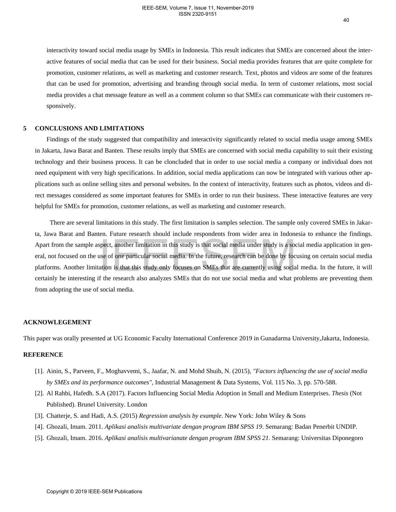interactivity toward social media usage by SMEs in Indonesia. This result indicates that SMEs are concerned about the interactive features of social media that can be used for their business. Social media provides features that are quite complete for promotion, customer relations, as well as marketing and customer research. Text, photos and videos are some of the features that can be used for promotion, advertising and branding through social media. In term of customer relations, most social media provides a chat message feature as well as a comment column so that SMEs can communicate with their customers responsively.

# **5 CONCLUSIONS AND LIMITATIONS**

Findings of the study suggested that compatibility and interactivity significantly related to social media usage among SMEs in Jakarta, Jawa Barat and Banten. These results imply that SMEs are concerned with social media capability to suit their existing technology and their business process. It can be cloncluded that in order to use social media a company or individual does not need equipment with very high specifications. In addition, social media applications can now be integrated with various other applications such as online selling sites and personal websites. In the context of interactivity, features such as photos, videos and direct messages considered as some important features for SMEs in order to run their business. These interactive features are very helpful for SMEs for promotion, customer relations, as well as marketing and customer research.

 There are several limitations in this study. The first limitation is samples selection. The sample only covered SMEs in Jakarta, Jawa Barat and Banten. Future research should include respondents from wider area in Indonesia to enhance the findings. Apart from the sample aspect, another limitation in this study is that social media under study is a social media application in general, not focused on the use of one particular social media. In the future, research can be done by focusing on certain social media platforms. Another limitation is that this study only focuses on SMEs that are currently using social media. In the future, it will certainly be interesting if the research also analyzes SMEs that do not use social media and what problems are preventing them from adopting the use of social media. rt from the sample aspect, another limitation in this study is that social media under study is a social order to measure of one particular social media. In the future, research can be done by focus on the suse of one part

#### **ACKNOWLEGEMENT**

This paper was orally presented at UG Economic Faculty International Conference 2019 in Gunadarma University,Jakarta, Indonesia.

#### **REFERENCE**

- [1]. Ainin, S., Parveen, F., Moghavvemi, S., Jaafar, N. and Mohd Shuib, N. (2015), *"Factors influencing the use of social media by SMEs and its performance outcomes"*, Industrial Management & Data Systems, Vol. 115 No. 3, pp. 570-588.
- [2]. Al Rahbi, Hafedh. S.A (2017). Factors Influencing Social Media Adoption in Small and Medium Enterprises. *Thesis* (Not Published). Brunel University. London
- [3]. Chatterje, S. and Hadi, A.S. (2015) *Regression analysis by example*. New York: John Wiley & Sons
- [4]. Ghozali, Imam. 2011. *Aplikasi analisis multivariate dengan program IBM SPSS 19*. Semarang: Badan Penerbit UNDIP.
- [5]. Ghozali, Imam. 2016. *Aplikasi analisis multivarianate dengan program IBM SPSS 21*. Semarang: Universitas Diponegoro